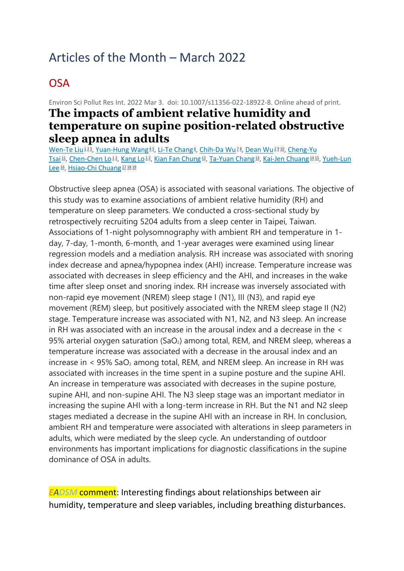# Articles of the Month – March 2022

### **OSA**

Environ Sci Pollut Res Int. 2022 Mar 3. doi: 10.1007/s11356-022-18922-8. Online ahead of print. **The impacts of ambient relative humidity and temperature on supine position-related obstructive** 

**sleep apnea in adults** [Wen-Te Liu](https://pubmed.ncbi.nlm.nih.gov/?sort=date&size=100&term=Liu+WT&cauthor_id=35239114)<sup>[1](https://pubmed.ncbi.nlm.nih.gov/35239114/#affiliation-1)[2](https://pubmed.ncbi.nlm.nih.gov/35239114/#affiliation-2)3</sup>[,](https://pubmed.ncbi.nlm.nih.gov/35239114/#affiliation-8) [Yuan-Hung Wang](https://pubmed.ncbi.nlm.nih.gov/?sort=date&size=100&term=Wang+YH&cauthor_id=35239114)<sup>[4](https://pubmed.ncbi.nlm.nih.gov/35239114/#affiliation-4)5</sup>, [Li-Te Chang](https://pubmed.ncbi.nlm.nih.gov/?sort=date&size=100&term=Chang+LT&cauthor_id=35239114)<sup>6</sup>, [Chih-Da Wu](https://pubmed.ncbi.nlm.nih.gov/?sort=date&size=100&term=Wu+CD&cauthor_id=35239114)<sup>z8</sup>, [Dean Wu](https://pubmed.ncbi.nlm.nih.gov/?sort=date&size=100&term=Wu+D&cauthor_id=35239114)<sup>2[9](https://pubmed.ncbi.nlm.nih.gov/35239114/#affiliation-9)[10](https://pubmed.ncbi.nlm.nih.gov/35239114/#affiliation-10)</sup>, Cheng-Yu [Tsai](https://pubmed.ncbi.nlm.nih.gov/?sort=date&size=100&term=Tsai+CY&cauthor_id=35239114) [11](https://pubmed.ncbi.nlm.nih.gov/35239114/#affiliation-11), [Chen-Chen Lo](https://pubmed.ncbi.nlm.nih.gov/?sort=date&size=100&term=Lo+CC&cauthor_id=35239114)<sup>[1](https://pubmed.ncbi.nlm.nih.gov/35239114/#affiliation-1)2</sup>[,](https://pubmed.ncbi.nlm.nih.gov/35239114/#affiliation-2) [Kang Lo](https://pubmed.ncbi.nlm.nih.gov/?sort=date&size=100&term=Lo+K&cauthor_id=35239114)<sup>12</sup>, [Kian Fan Chung](https://pubmed.ncbi.nlm.nih.gov/?sort=date&size=100&term=Chung+KF&cauthor_id=35239114) [12](https://pubmed.ncbi.nlm.nih.gov/35239114/#affiliation-12), [Ta-Yuan Chang](https://pubmed.ncbi.nlm.nih.gov/?sort=date&size=100&term=Chang+TY&cauthor_id=35239114) [13](https://pubmed.ncbi.nlm.nih.gov/35239114/#affiliation-13), [Kai-Jen Chuang](https://pubmed.ncbi.nlm.nih.gov/?sort=date&size=100&term=Chuang+KJ&cauthor_id=35239114) [14](https://pubmed.ncbi.nlm.nih.gov/35239114/#affiliation-14) [15](https://pubmed.ncbi.nlm.nih.gov/35239114/#affiliation-15), Yueh-Lun [Lee](https://pubmed.ncbi.nlm.nih.gov/?sort=date&size=100&term=Lee+YL&cauthor_id=35239114)<sup>[16](https://pubmed.ncbi.nlm.nih.gov/35239114/#affiliation-16)</sup>, [Hsiao-Chi Chuang](https://pubmed.ncbi.nlm.nih.gov/?sort=date&size=100&term=Chuang+HC&cauthor_id=35239114)<sup>[17](https://pubmed.ncbi.nlm.nih.gov/35239114/#affiliation-17)</sup><sup>[18](https://pubmed.ncbi.nlm.nih.gov/35239114/#affiliation-18)</sup><sup>[19](https://pubmed.ncbi.nlm.nih.gov/35239114/#affiliation-19)</sup>

Obstructive sleep apnea (OSA) is associated with seasonal variations. The objective of this study was to examine associations of ambient relative humidity (RH) and temperature on sleep parameters. We conducted a cross-sectional study by retrospectively recruiting 5204 adults from a sleep center in Taipei, Taiwan. Associations of 1-night polysomnography with ambient RH and temperature in 1 day, 7-day, 1-month, 6-month, and 1-year averages were examined using linear regression models and a mediation analysis. RH increase was associated with snoring index decrease and apnea/hypopnea index (AHI) increase. Temperature increase was associated with decreases in sleep efficiency and the AHI, and increases in the wake time after sleep onset and snoring index. RH increase was inversely associated with non-rapid eye movement (NREM) sleep stage I (N1), III (N3), and rapid eye movement (REM) sleep, but positively associated with the NREM sleep stage II (N2) stage. Temperature increase was associated with N1, N2, and N3 sleep. An increase in RH was associated with an increase in the arousal index and a decrease in the < 95% arterial oxygen saturation (SaO<sub>2</sub>) among total, REM, and NREM sleep, whereas a temperature increase was associated with a decrease in the arousal index and an increase in  $\leq$  95% SaO<sub>2</sub> among total, REM, and NREM sleep. An increase in RH was associated with increases in the time spent in a supine posture and the supine AHI. An increase in temperature was associated with decreases in the supine posture, supine AHI, and non-supine AHI. The N3 sleep stage was an important mediator in increasing the supine AHI with a long-term increase in RH. But the N1 and N2 sleep stages mediated a decrease in the supine AHI with an increase in RH. In conclusion, ambient RH and temperature were associated with alterations in sleep parameters in adults, which were mediated by the sleep cycle. An understanding of outdoor environments has important implications for diagnostic classifications in the supine dominance of OSA in adults.

*EADSM* comment: Interesting findings about relationships between air humidity, temperature and sleep variables, including breathing disturbances.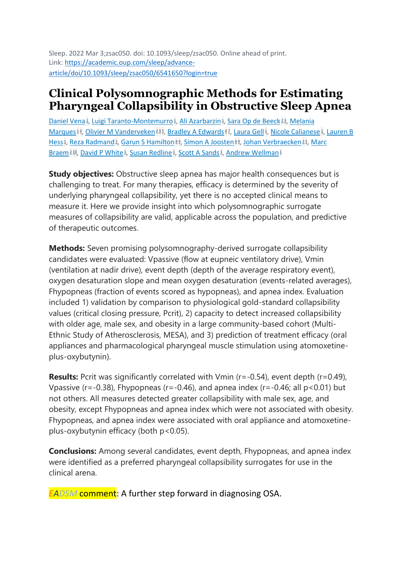Sleep. 2022 Mar 3;zsac050. doi: 10.1093/sleep/zsac050. Online ahead of print. Link: [https://academic.oup.com/sleep/advance](https://academic.oup.com/sleep/advance-article/doi/10.1093/sleep/zsac050/6541650?login=true)[article/doi/10.1093/sleep/zsac050/6541650?login=true](https://academic.oup.com/sleep/advance-article/doi/10.1093/sleep/zsac050/6541650?login=true)

### **Clinical Polysomnographic Methods for Estimating Pharyngeal Collapsibility in Obstructive Sleep Apnea**

[Daniel Vena](https://pubmed.ncbi.nlm.nih.gov/?sort=date&size=100&term=Vena+D&cauthor_id=35238379)<sup>1</sup>[,](https://pubmed.ncbi.nlm.nih.gov/35238379/#affiliation-3) [Luigi Taranto-Montemurro](https://pubmed.ncbi.nlm.nih.gov/?sort=date&size=100&term=Taranto-Montemurro+L&cauthor_id=35238379)<sup>1</sup>, [Ali Azarbarzin](https://pubmed.ncbi.nlm.nih.gov/?sort=date&size=100&term=Azarbarzin+A&cauthor_id=35238379)<sup>1</sup>, Sara Op [de Beeck](https://pubmed.ncbi.nlm.nih.gov/?sort=date&size=100&term=Op+de+Beeck+S&cauthor_id=35238379)<sup>[2](https://pubmed.ncbi.nlm.nih.gov/35238379/#affiliation-2)3</sup>, Melania [Marques](https://pubmed.ncbi.nlm.nih.gov/?sort=date&size=100&term=Marques+M&cauthor_id=35238379)<sup>[1](https://pubmed.ncbi.nlm.nih.gov/35238379/#affiliation-1)4</sup>[,](https://pubmed.ncbi.nlm.nih.gov/35238379/#affiliation-1) [Olivier M Vanderveken](https://pubmed.ncbi.nlm.nih.gov/?sort=date&size=100&term=Vanderveken+OM&cauthor_id=35238379)<sup>[2](https://pubmed.ncbi.nlm.nih.gov/35238379/#affiliation-2)[3](https://pubmed.ncbi.nlm.nih.gov/35238379/#affiliation-3)5</sup>, [Bradley A Edwards](https://pubmed.ncbi.nlm.nih.gov/?sort=date&size=100&term=Edwards+BA&cauthor_id=35238379)<sup>[6](https://pubmed.ncbi.nlm.nih.gov/35238379/#affiliation-6)2</sup>, [Laura Gell](https://pubmed.ncbi.nlm.nih.gov/?sort=date&size=100&term=Gell+L&cauthor_id=35238379)<sup>1</sup>, [Nicole Calianese](https://pubmed.ncbi.nlm.nih.gov/?sort=date&size=100&term=Calianese+N&cauthor_id=35238379)<sup>1</sup>, Lauren B [Hess](https://pubmed.ncbi.nlm.nih.gov/?sort=date&size=100&term=Hess+LB&cauthor_id=35238379)<sup>1</sup>[,](https://pubmed.ncbi.nlm.nih.gov/35238379/#affiliation-5) [Reza Radmand](https://pubmed.ncbi.nlm.nih.gov/?sort=date&size=100&term=Radmand+R&cauthor_id=35238379)<sup>1</sup>, [Garun S Hamilton](https://pubmed.ncbi.nlm.nih.gov/?sort=date&size=100&term=Hamilton+GS&cauthor_id=35238379)<sup>[8](https://pubmed.ncbi.nlm.nih.gov/35238379/#affiliation-8)9</sup>, [Simon A Joosten](https://pubmed.ncbi.nlm.nih.gov/?sort=date&size=100&term=Joosten+SA&cauthor_id=35238379)<sup>89</sup>, [Johan Verbraecken](https://pubmed.ncbi.nlm.nih.gov/?sort=date&size=100&term=Verbraecken+J&cauthor_id=35238379)<sup>[2](https://pubmed.ncbi.nlm.nih.gov/35238379/#affiliation-2)5</sup>, Marc [Braem](https://pubmed.ncbi.nlm.nih.gov/?sort=date&size=100&term=Braem+M&cauthor_id=35238379)<sup>[2](https://pubmed.ncbi.nlm.nih.gov/35238379/#affiliation-2)[10](https://pubmed.ncbi.nlm.nih.gov/35238379/#affiliation-10)</sup>, [David P White](https://pubmed.ncbi.nlm.nih.gov/?sort=date&size=100&term=White+DP&cauthor_id=35238379)<sup>1</sup>[,](https://pubmed.ncbi.nlm.nih.gov/35238379/#affiliation-1) [Susan Redline](https://pubmed.ncbi.nlm.nih.gov/?sort=date&size=100&term=Redline+S&cauthor_id=35238379)<sup>1</sup>, [Scott A Sands](https://pubmed.ncbi.nlm.nih.gov/?sort=date&size=100&term=Sands+SA&cauthor_id=35238379)<sup>1</sup>, [Andrew Wellman](https://pubmed.ncbi.nlm.nih.gov/?sort=date&size=100&term=Wellman+A&cauthor_id=35238379)<sup>[1](https://pubmed.ncbi.nlm.nih.gov/35238379/#affiliation-1)</sup>

**Study objectives:** Obstructive sleep apnea has major health consequences but is challenging to treat. For many therapies, efficacy is determined by the severity of underlying pharyngeal collapsibility, yet there is no accepted clinical means to measure it. Here we provide insight into which polysomnographic surrogate measures of collapsibility are valid, applicable across the population, and predictive of therapeutic outcomes.

**Methods:** Seven promising polysomnography-derived surrogate collapsibility candidates were evaluated: Vpassive (flow at eupneic ventilatory drive), Vmin (ventilation at nadir drive), event depth (depth of the average respiratory event), oxygen desaturation slope and mean oxygen desaturation (events-related averages), Fhypopneas (fraction of events scored as hypopneas), and apnea index. Evaluation included 1) validation by comparison to physiological gold-standard collapsibility values (critical closing pressure, Pcrit), 2) capacity to detect increased collapsibility with older age, male sex, and obesity in a large community-based cohort (Multi-Ethnic Study of Atherosclerosis, MESA), and 3) prediction of treatment efficacy (oral appliances and pharmacological pharyngeal muscle stimulation using atomoxetineplus-oxybutynin).

**Results:** Pcrit was significantly correlated with Vmin (r=-0.54), event depth (r=0.49), Vpassive ( $r=-0.38$ ), Fhypopneas ( $r=-0.46$ ), and apnea index ( $r=-0.46$ ; all  $p<0.01$ ) but not others. All measures detected greater collapsibility with male sex, age, and obesity, except Fhypopneas and apnea index which were not associated with obesity. Fhypopneas, and apnea index were associated with oral appliance and atomoxetineplus-oxybutynin efficacy (both p<0.05).

**Conclusions:** Among several candidates, event depth, Fhypopneas, and apnea index were identified as a preferred pharyngeal collapsibility surrogates for use in the clinical arena.

*EADSM* comment: A further step forward in diagnosing OSA.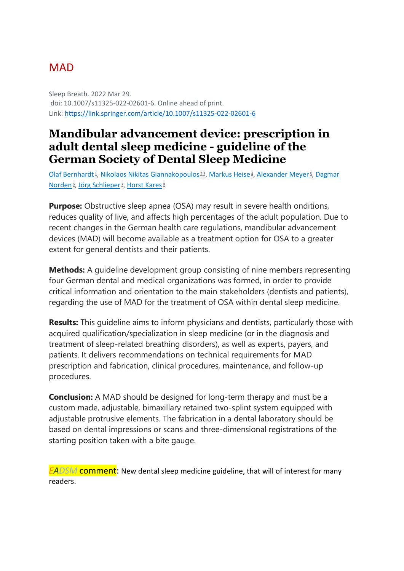### **MAD**

Sleep Breath. 2022 Mar 29. doi: 10.1007/s11325-022-02601-6. Online ahead of print. Link:<https://link.springer.com/article/10.1007/s11325-022-02601-6>

### **Mandibular advancement device: prescription in adult dental sleep medicine - guideline of the German Society of Dental Sleep Medicine**

[Olaf Bernhardt](https://pubmed.ncbi.nlm.nih.gov/?sort=date&size=100&term=Bernhardt+O&cauthor_id=35349009)<sup>1</sup>[,](https://pubmed.ncbi.nlm.nih.gov/35349009/#affiliation-5) [Nikolaos Nikitas Giannakopoulos](https://pubmed.ncbi.nlm.nih.gov/?sort=date&size=100&term=Giannakopoulos+NN&cauthor_id=35349009)<sup>[2](https://pubmed.ncbi.nlm.nih.gov/35349009/#affiliation-2)3</sup>, [Markus Heise](https://pubmed.ncbi.nlm.nih.gov/?sort=date&size=100&term=Heise+M&cauthor_id=35349009)<sup>4</sup>, [Alexander Meyer](https://pubmed.ncbi.nlm.nih.gov/?sort=date&size=100&term=Meyer+A&cauthor_id=35349009)<sup>5</sup>, Dagmar **[Norden](https://pubmed.ncbi.nlm.nih.gov/?sort=date&size=100&term=Norden+D&cauthor_id=35349009)<sup>6</sup>[,](https://pubmed.ncbi.nlm.nih.gov/35349009/#affiliation-7) [Jörg Schlieper](https://pubmed.ncbi.nlm.nih.gov/?sort=date&size=100&term=Schlieper+J&cauthor_id=35349009)**<sup>z</sup>, [Horst Kares](https://pubmed.ncbi.nlm.nih.gov/?sort=date&size=100&term=Kares+H&cauthor_id=35349009)<sup>[8](https://pubmed.ncbi.nlm.nih.gov/35349009/#affiliation-8)</sup>

**Purpose:** Obstructive sleep apnea (OSA) may result in severe health onditions, reduces quality of live, and affects high percentages of the adult population. Due to recent changes in the German health care regulations, mandibular advancement devices (MAD) will become available as a treatment option for OSA to a greater extent for general dentists and their patients.

**Methods:** A guideline development group consisting of nine members representing four German dental and medical organizations was formed, in order to provide critical information and orientation to the main stakeholders (dentists and patients), regarding the use of MAD for the treatment of OSA within dental sleep medicine.

**Results:** This guideline aims to inform physicians and dentists, particularly those with acquired qualification/specialization in sleep medicine (or in the diagnosis and treatment of sleep-related breathing disorders), as well as experts, payers, and patients. It delivers recommendations on technical requirements for MAD prescription and fabrication, clinical procedures, maintenance, and follow-up procedures.

**Conclusion:** A MAD should be designed for long-term therapy and must be a custom made, adjustable, bimaxillary retained two-splint system equipped with adjustable protrusive elements. The fabrication in a dental laboratory should be based on dental impressions or scans and three-dimensional registrations of the starting position taken with a bite gauge.

*EADSM* comment: New dental sleep medicine guideline, that will of interest for many readers.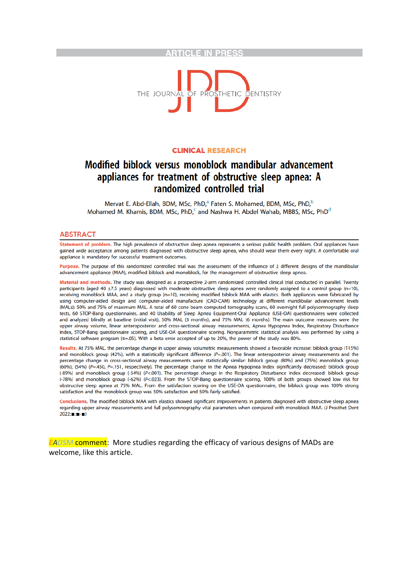#### **ARTICLE IN PRESS**



#### **CLINICAL RESEARCH**

### Modified biblock versus monoblock mandibular advancement appliances for treatment of obstructive sleep apnea: A randomized controlled trial

Mervat E. Abd-Ellah, BDM, MSc, PhD,<sup>a</sup> Faten S. Mohamed, BDM, MSc, PhD,<sup>b</sup> Mohamed M. Khamis, BDM, MSc, PhD,<sup>c</sup> and Nashwa H. Abdel Wahab, MBBS, MSc, PhD<sup>d</sup>

#### **ABSTRACT**

Statement of problem. The high prevalence of obstructive sleep apnea represents a serious public health problem. Oral appliances have gained wide acceptance among patients diagnosed with obstructive sleep apnea, who should wear them every night. A comfortable oral appliance is mandatory for successful treatment outcomes.

Purpose. The purpose of this randomized controlled trial was the assessment of the influence of 2 different designs of the mandibular advancement appliance (MAA), modified biblock and monoblock, for the management of obstructive sleep apnea.

Material and methods. The study was designed as a prospective 2-arm randomized controlled clinical trial conducted in parallel. Twenty participants (aged 40 ±7.5 years) diagnosed with moderate obstructive sleep apnea were randomly assigned to a control group (n=10), receiving monoblock MAA, and a study group (n=10), receiving modified biblock MAA with elastics. Both appliances were fabricated by using computer-aided design and computer-aided manufacture (CAD-CAM) technology at different mandibular advancement levels (MALs): 50% and 75% of maximum MAL. A total of 60 cone beam computed tomography scans, 60 overnight full polysomnography sleep tests, 60 STOP-Bang questionnaires, and 40 Usability of Sleep Apnea Equipment-Oral Appliance (USE-OA) questionnaires were collected and analyzed blindly at baseline (initial visit), 50% MAL (3 months), and 75% MAL (6 months). The main outcome measures were the upper airway volume, linear anteroposterior and cross-sectional airway measurements, Apnea Hypopnea Index, Respiratory Disturbance Index, STOP-Bang questionnaire scoring, and USE-OA questionnaire scoring. Nonparametric statistical analysis was performed by using a statistical software program ( $\alpha$ =.05). With a beta error accepted of up to 20%, the power of the study was 80%

Results. At 75% MAL, the percentage change in upper airway volumetric measurements showed a favorable increase: biblock group (115%) and monoblock group (42%), with a statistically significant difference ( $P=001$ ). The linear anteroposterior airway measurements and the percentage change in cross-sectional airway measurements were statistically similar: biblock group (80%) and (75%) monoblock group (60%), (54%) (P=.450, P=.151, respectively). The percentage change in the Apnea Hypopnea Index significantly decreased: biblock group (-89%) and monoblock group (-54%) (P<.001). The percentage change in the Respiratory Disturbance Index decreased: biblock group (-78%) and monoblock group (-62%) (P<.023). From the STOP-Bang questionnaire scoring, 100% of both groups showed low risk for obstructive sleep apnea at 75% MAL. From the satisfaction scoring on the USE-OA questionnaire, the biblock group was 100% strong satisfaction and the monoblock group was 50% satisfaction and 50% fairly satisfied.

Conclusions. The modified biblock MAA with elastics showed significant improvements in patients diagnosed with obstructive sleep apnea regarding upper airway measurements and full polysomnography vital parameters when compared with monoblock MAA. (J Prosthet Dent  $2022: m-m-1$ 

*EADSM* comment: More studies regarding the efficacy of various designs of MADs are welcome, like this article.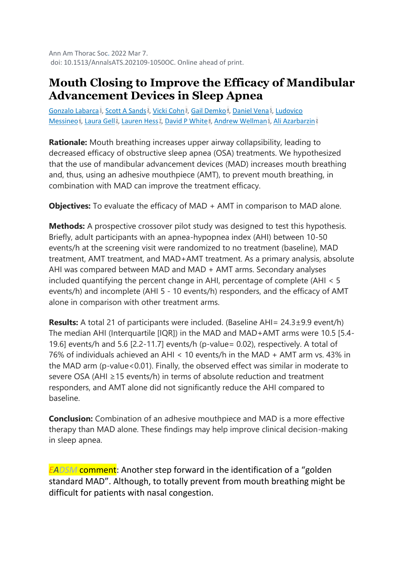Ann Am Thorac Soc. 2022 Mar 7. doi: 10.1513/AnnalsATS.202109-1050OC. Online ahead of print.

### **Mouth Closing to Improve the Efficacy of Mandibular Advancement Devices in Sleep Apnea**

[Gonzalo Labarca](https://pubmed.ncbi.nlm.nih.gov/?sort=date&size=100&term=Labarca+G&cauthor_id=35254967)<sup>1</sup>[,](https://pubmed.ncbi.nlm.nih.gov/35254967/#affiliation-5) [Scott A Sands](https://pubmed.ncbi.nlm.nih.gov/?sort=date&size=100&term=Sands+SA&cauthor_id=35254967)<sup>2</sup>, [Vicki Cohn](https://pubmed.ncbi.nlm.nih.gov/?sort=date&size=100&term=Cohn+V&cauthor_id=35254967)<sup>3</sup>, [Gail Demko](https://pubmed.ncbi.nlm.nih.gov/?sort=date&size=100&term=Demko+G&cauthor_id=35254967)<sup>4</sup>, [Daniel Vena](https://pubmed.ncbi.nlm.nih.gov/?sort=date&size=100&term=Vena+D&cauthor_id=35254967)<sup>5</sup>, Ludovico [Messineo](https://pubmed.ncbi.nlm.nih.gov/?sort=date&size=100&term=Messineo+L&cauthor_id=35254967)<sup>g</sup>[,](https://pubmed.ncbi.nlm.nih.gov/35254967/#affiliation-5) [Laura Gell](https://pubmed.ncbi.nlm.nih.gov/?sort=date&size=100&term=Gell+L&cauthor_id=35254967)<sup>2</sup>, [Lauren Hess](https://pubmed.ncbi.nlm.nih.gov/?sort=date&size=100&term=Hess+L&cauthor_id=35254967)<sup>z</sup>, [David P White](https://pubmed.ncbi.nlm.nih.gov/?sort=date&size=100&term=White+DP&cauthor_id=35254967)<sup>g</sup>, [Andrew Wellman](https://pubmed.ncbi.nlm.nih.gov/?sort=date&size=100&term=Wellman+A&cauthor_id=35254967)<sup>g</sup>, [Ali Azarbarzin](https://pubmed.ncbi.nlm.nih.gov/?sort=date&size=100&term=Azarbarzin+A&cauthor_id=35254967)<sup>[2](https://pubmed.ncbi.nlm.nih.gov/35254967/#affiliation-2)</sup>

**Rationale:** Mouth breathing increases upper airway collapsibility, leading to decreased efficacy of obstructive sleep apnea (OSA) treatments. We hypothesized that the use of mandibular advancement devices (MAD) increases mouth breathing and, thus, using an adhesive mouthpiece (AMT), to prevent mouth breathing, in combination with MAD can improve the treatment efficacy.

**Objectives:** To evaluate the efficacy of MAD + AMT in comparison to MAD alone.

**Methods:** A prospective crossover pilot study was designed to test this hypothesis. Briefly, adult participants with an apnea-hypopnea index (AHI) between 10-50 events/h at the screening visit were randomized to no treatment (baseline), MAD treatment, AMT treatment, and MAD+AMT treatment. As a primary analysis, absolute AHI was compared between MAD and MAD + AMT arms. Secondary analyses included quantifying the percent change in AHI, percentage of complete (AHI < 5 events/h) and incomplete (AHI 5 - 10 events/h) responders, and the efficacy of AMT alone in comparison with other treatment arms.

**Results:** A total 21 of participants were included. (Baseline AHI= 24.3±9.9 event/h) The median AHI (Interquartile [IQR]) in the MAD and MAD+AMT arms were 10.5 [5.4- 19.6] events/h and 5.6 [2.2-11.7] events/h (p-value= 0.02), respectively. A total of 76% of individuals achieved an AHI < 10 events/h in the MAD + AMT arm vs. 43% in the MAD arm (p-value<0.01). Finally, the observed effect was similar in moderate to severe OSA (AHI ≥15 events/h) in terms of absolute reduction and treatment responders, and AMT alone did not significantly reduce the AHI compared to baseline.

**Conclusion:** Combination of an adhesive mouthpiece and MAD is a more effective therapy than MAD alone. These findings may help improve clinical decision-making in sleep apnea.

*EADSM* comment: Another step forward in the identification of a "golden standard MAD". Although, to totally prevent from mouth breathing might be difficult for patients with nasal congestion.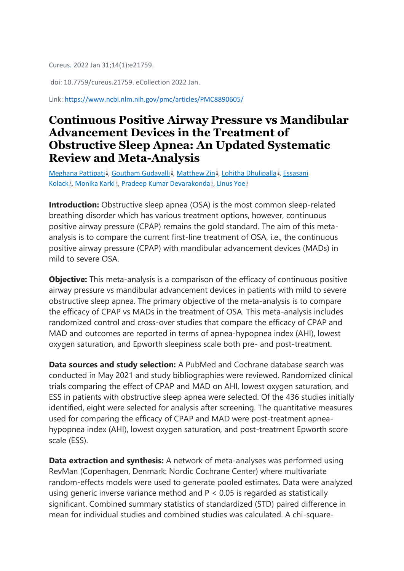Cureus. 2022 Jan 31;14(1):e21759.

doi: 10.7759/cureus.21759. eCollection 2022 Jan.

Link:<https://www.ncbi.nlm.nih.gov/pmc/articles/PMC8890605/>

### **Continuous Positive Airway Pressure vs Mandibular Advancement Devices in the Treatment of Obstructive Sleep Apnea: An Updated Systematic Review and Meta-Analysis**

[Meghana Pattipati](https://pubmed.ncbi.nlm.nih.gov/?sort=date&size=100&term=Pattipati+M&cauthor_id=35251830)<sup>1</sup>[,](https://pubmed.ncbi.nlm.nih.gov/35251830/#affiliation-3) [Goutham Gudavalli](https://pubmed.ncbi.nlm.nih.gov/?sort=date&size=100&term=Gudavalli+G&cauthor_id=35251830)<sup>2</sup>, [Matthew Zin](https://pubmed.ncbi.nlm.nih.gov/?sort=date&size=100&term=Zin+M&cauthor_id=35251830)<sup>1</sup>, [Lohitha Dhulipalla](https://pubmed.ncbi.nlm.nih.gov/?sort=date&size=100&term=Dhulipalla+L&cauthor_id=35251830)<sup>2</sup>, Essasani [Kolack](https://pubmed.ncbi.nlm.nih.gov/?sort=date&size=100&term=Kolack+E&cauthor_id=35251830)<sub>4</sub>[,](https://pubmed.ncbi.nlm.nih.gov/35251830/#affiliation-1) [Monika Karki](https://pubmed.ncbi.nlm.nih.gov/?sort=date&size=100&term=Karki+M&cauthor_id=35251830)4, [Pradeep Kumar Devarakonda](https://pubmed.ncbi.nlm.nih.gov/?sort=date&size=100&term=Devarakonda+PK&cauthor_id=35251830)4, [Linus Yoe](https://pubmed.ncbi.nlm.nih.gov/?sort=date&size=100&term=Yoe+L&cauthor_id=35251830)<sup>[1](https://pubmed.ncbi.nlm.nih.gov/35251830/#affiliation-1)</sup>

**Introduction:** Obstructive sleep apnea (OSA) is the most common sleep-related breathing disorder which has various treatment options, however, continuous positive airway pressure (CPAP) remains the gold standard. The aim of this metaanalysis is to compare the current first-line treatment of OSA, i.e., the continuous positive airway pressure (CPAP) with mandibular advancement devices (MADs) in mild to severe OSA.

**Objective:** This meta-analysis is a comparison of the efficacy of continuous positive airway pressure vs mandibular advancement devices in patients with mild to severe obstructive sleep apnea. The primary objective of the meta-analysis is to compare the efficacy of CPAP vs MADs in the treatment of OSA. This meta-analysis includes randomized control and cross-over studies that compare the efficacy of CPAP and MAD and outcomes are reported in terms of apnea-hypopnea index (AHI), lowest oxygen saturation, and Epworth sleepiness scale both pre- and post-treatment.

**Data sources and study selection:** A PubMed and Cochrane database search was conducted in May 2021 and study bibliographies were reviewed. Randomized clinical trials comparing the effect of CPAP and MAD on AHI, lowest oxygen saturation, and ESS in patients with obstructive sleep apnea were selected. Of the 436 studies initially identified, eight were selected for analysis after screening. The quantitative measures used for comparing the efficacy of CPAP and MAD were post-treatment apneahypopnea index (AHI), lowest oxygen saturation, and post-treatment Epworth score scale (ESS).

**Data extraction and synthesis:** A network of meta-analyses was performed using RevMan (Copenhagen, Denmark: Nordic Cochrane Center) where multivariate random-effects models were used to generate pooled estimates. Data were analyzed using generic inverse variance method and P < 0.05 is regarded as statistically significant. Combined summary statistics of standardized (STD) paired difference in mean for individual studies and combined studies was calculated. A chi-square-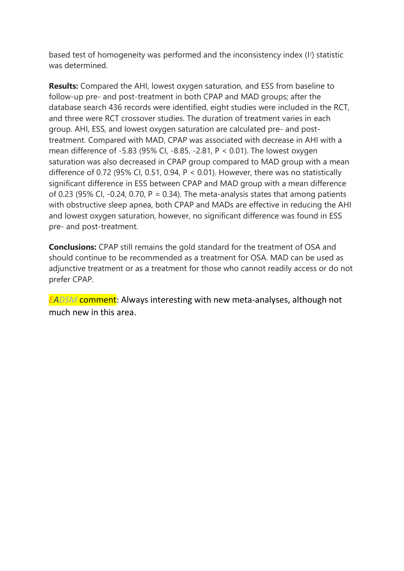based test of homogeneity was performed and the inconsistency index (I 2 ) statistic was determined.

**Results:** Compared the AHI, lowest oxygen saturation, and ESS from baseline to follow-up pre- and post-treatment in both CPAP and MAD groups; after the database search 436 records were identified, eight studies were included in the RCT, and three were RCT crossover studies. The duration of treatment varies in each group. AHI, ESS, and lowest oxygen saturation are calculated pre- and posttreatment. Compared with MAD, CPAP was associated with decrease in AHI with a mean difference of -5.83 (95% CI, -8.85, -2.81, P < 0.01). The lowest oxygen saturation was also decreased in CPAP group compared to MAD group with a mean difference of 0.72 (95% CI, 0.51, 0.94,  $P < 0.01$ ). However, there was no statistically significant difference in ESS between CPAP and MAD group with a mean difference of 0.23 (95% CI, -0.24, 0.70,  $P = 0.34$ ). The meta-analysis states that among patients with obstructive sleep apnea, both CPAP and MADs are effective in reducing the AHI and lowest oxygen saturation, however, no significant difference was found in ESS pre- and post-treatment.

**Conclusions:** CPAP still remains the gold standard for the treatment of OSA and should continue to be recommended as a treatment for OSA. MAD can be used as adjunctive treatment or as a treatment for those who cannot readily access or do not prefer CPAP.

*EADSM* comment: Always interesting with new meta-analyses, although not much new in this area.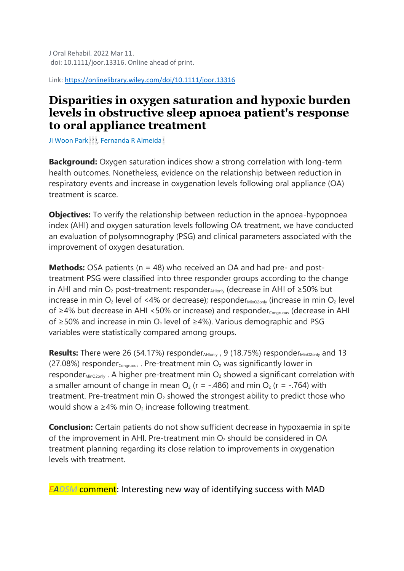Link:<https://onlinelibrary.wiley.com/doi/10.1111/joor.13316>

### **Disparities in oxygen saturation and hypoxic burden levels in obstructive sleep apnoea patient's response to oral appliance treatment**

<u>[Ji Woon Park](https://pubmed.ncbi.nlm.nih.gov/?sort=date&size=100&term=Park+JW&cauthor_id=35274338) [1](https://pubmed.ncbi.nlm.nih.gov/35274338/#affiliation-1)[2](https://pubmed.ncbi.nlm.nih.gov/35274338/#affiliation-2)3[,](https://pubmed.ncbi.nlm.nih.gov/35274338/#affiliation-3) [Fernanda R Almeida](https://pubmed.ncbi.nlm.nih.gov/?sort=date&size=100&term=Almeida+FR&cauthor_id=35274338) 1</u>

**Background:** Oxygen saturation indices show a strong correlation with long-term health outcomes. Nonetheless, evidence on the relationship between reduction in respiratory events and increase in oxygenation levels following oral appliance (OA) treatment is scarce.

**Objectives:** To verify the relationship between reduction in the apnoea-hypopnoea index (AHI) and oxygen saturation levels following OA treatment, we have conducted an evaluation of polysomnography (PSG) and clinical parameters associated with the improvement of oxygen desaturation.

**Methods:** OSA patients (n = 48) who received an OA and had pre- and posttreatment PSG were classified into three responder groups according to the change in AHI and min O<sub>2</sub> post-treatment: responder<sub>AHlonly</sub> (decrease in AHI of ≥50% but increase in min  $O_2$  level of <4% or decrease); responder  $_{MinO2 only}$  (increase in min  $O_2$  level of ≥4% but decrease in AHI <50% or increase) and responder<sub>Congruous</sub> (decrease in AHI of ≥50% and increase in min O<sub>2</sub> level of ≥4%). Various demographic and PSG variables were statistically compared among groups.

**Results:** There were 26 (54.17%) responder<sub>AHlonly</sub>, 9 (18.75%) responder<sub>MinO2only</sub> and 13 (27.08%) responder $_{\text{Congruous}}$ . Pre-treatment min  $O_2$  was significantly lower in responder $_{\text{MinO2only}}$ . A higher pre-treatment min  $O_2$  showed a significant correlation with a smaller amount of change in mean  $O_2$  (r = -.486) and min  $O_2$  (r = -.764) with treatment. Pre-treatment min  $O<sub>2</sub>$  showed the strongest ability to predict those who would show a  $\geq$ 4% min O<sub>2</sub> increase following treatment.

**Conclusion:** Certain patients do not show sufficient decrease in hypoxaemia in spite of the improvement in AHI. Pre-treatment min  $O<sub>2</sub>$  should be considered in OA treatment planning regarding its close relation to improvements in oxygenation levels with treatment.

*EADSM* comment: Interesting new way of identifying success with MAD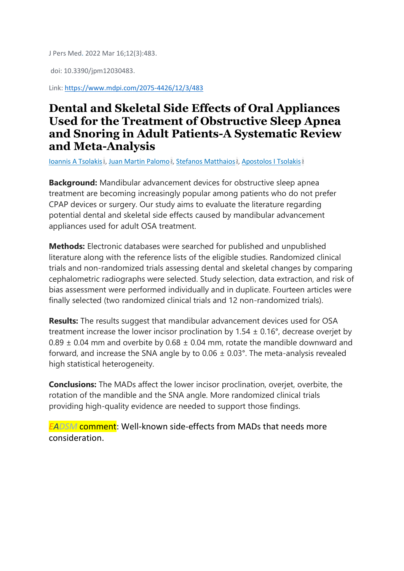J Pers Med. 2022 Mar 16;12(3):483.

doi: 10.3390/jpm12030483.

Link:<https://www.mdpi.com/2075-4426/12/3/483>

### **Dental and Skeletal Side Effects of Oral Appliances Used for the Treatment of Obstructive Sleep Apnea and Snoring in Adult Patients-A Systematic Review and Meta-Analysis**

<u>[Ioannis A Tsolakis](https://pubmed.ncbi.nlm.nih.gov/?sort=date&size=100&term=Tsolakis+IA&cauthor_id=35330482)4[,](https://pubmed.ncbi.nlm.nih.gov/35330482/#affiliation-2) [Juan Martin Palomo](https://pubmed.ncbi.nlm.nih.gov/?sort=date&size=100&term=Palomo+JM&cauthor_id=35330482)</u>4, <u>[Stefanos Matthaios](https://pubmed.ncbi.nlm.nih.gov/?sort=date&size=100&term=Matthaios+S&cauthor_id=35330482)8, [Apostolos I Tsolakis](https://pubmed.ncbi.nlm.nih.gov/?sort=date&size=100&term=Tsolakis+AI&cauthor_id=35330482)</u>8

**Background:** Mandibular advancement devices for obstructive sleep apnea treatment are becoming increasingly popular among patients who do not prefer CPAP devices or surgery. Our study aims to evaluate the literature regarding potential dental and skeletal side effects caused by mandibular advancement appliances used for adult OSA treatment.

**Methods:** Electronic databases were searched for published and unpublished literature along with the reference lists of the eligible studies. Randomized clinical trials and non-randomized trials assessing dental and skeletal changes by comparing cephalometric radiographs were selected. Study selection, data extraction, and risk of bias assessment were performed individually and in duplicate. Fourteen articles were finally selected (two randomized clinical trials and 12 non-randomized trials).

**Results:** The results suggest that mandibular advancement devices used for OSA treatment increase the lower incisor proclination by  $1.54 \pm 0.16^{\circ}$ , decrease overjet by  $0.89 \pm 0.04$  mm and overbite by  $0.68 \pm 0.04$  mm, rotate the mandible downward and forward, and increase the SNA angle by to  $0.06 \pm 0.03$ °. The meta-analysis revealed high statistical heterogeneity.

**Conclusions:** The MADs affect the lower incisor proclination, overjet, overbite, the rotation of the mandible and the SNA angle. More randomized clinical trials providing high-quality evidence are needed to support those findings.

*EADSM* comment: Well-known side-effects from MADs that needs more consideration.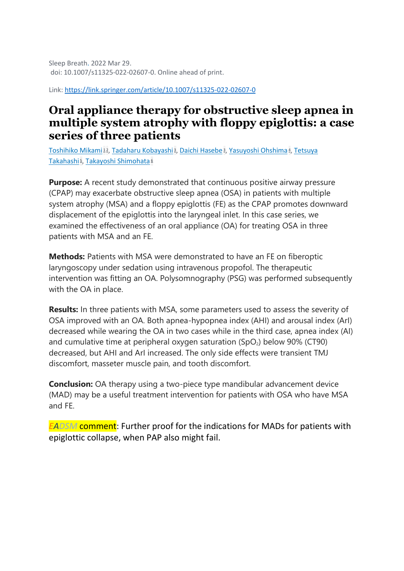Sleep Breath. 2022 Mar 29. doi: 10.1007/s11325-022-02607-0. Online ahead of print.

Link:<https://link.springer.com/article/10.1007/s11325-022-02607-0>

### **Oral appliance therapy for obstructive sleep apnea in multiple system atrophy with floppy epiglottis: a case series of three patients**

<u>[Toshihiko Mikami](https://pubmed.ncbi.nlm.nih.gov/?sort=date&size=100&term=Mikami+T&cauthor_id=35352265) [1](https://pubmed.ncbi.nlm.nih.gov/35352265/#affiliation-1)2[,](https://pubmed.ncbi.nlm.nih.gov/35352265/#affiliation-4) [Tadaharu Kobayashi](https://pubmed.ncbi.nlm.nih.gov/?sort=date&size=100&term=Kobayashi+T&cauthor_id=35352265) 3, [Daichi Hasebe](https://pubmed.ncbi.nlm.nih.gov/?sort=date&size=100&term=Hasebe+D&cauthor_id=35352265) 3, [Yasuyoshi Ohshima](https://pubmed.ncbi.nlm.nih.gov/?sort=date&size=100&term=Ohshima+Y&cauthor_id=35352265) 4, Tetsuya</u> <u>[Takahashi](https://pubmed.ncbi.nlm.nih.gov/?sort=date&size=100&term=Takahashi+T&cauthor_id=35352265) اوّ [Takayoshi Shimohata](https://pubmed.ncbi.nlm.nih.gov/?sort=date&size=100&term=Shimohata+T&cauthor_id=35352265)</u>

**Purpose:** A recent study demonstrated that continuous positive airway pressure (CPAP) may exacerbate obstructive sleep apnea (OSA) in patients with multiple system atrophy (MSA) and a floppy epiglottis (FE) as the CPAP promotes downward displacement of the epiglottis into the laryngeal inlet. In this case series, we examined the effectiveness of an oral appliance (OA) for treating OSA in three patients with MSA and an FE.

**Methods:** Patients with MSA were demonstrated to have an FE on fiberoptic laryngoscopy under sedation using intravenous propofol. The therapeutic intervention was fitting an OA. Polysomnography (PSG) was performed subsequently with the OA in place.

**Results:** In three patients with MSA, some parameters used to assess the severity of OSA improved with an OA. Both apnea-hypopnea index (AHI) and arousal index (ArI) decreased while wearing the OA in two cases while in the third case, apnea index (AI) and cumulative time at peripheral oxygen saturation  $(SpO<sub>2</sub>)$  below 90% (CT90) decreased, but AHI and ArI increased. The only side effects were transient TMJ discomfort, masseter muscle pain, and tooth discomfort.

**Conclusion:** OA therapy using a two-piece type mandibular advancement device (MAD) may be a useful treatment intervention for patients with OSA who have MSA and FE.

*EADSM* comment: Further proof for the indications for MADs for patients with epiglottic collapse, when PAP also might fail.